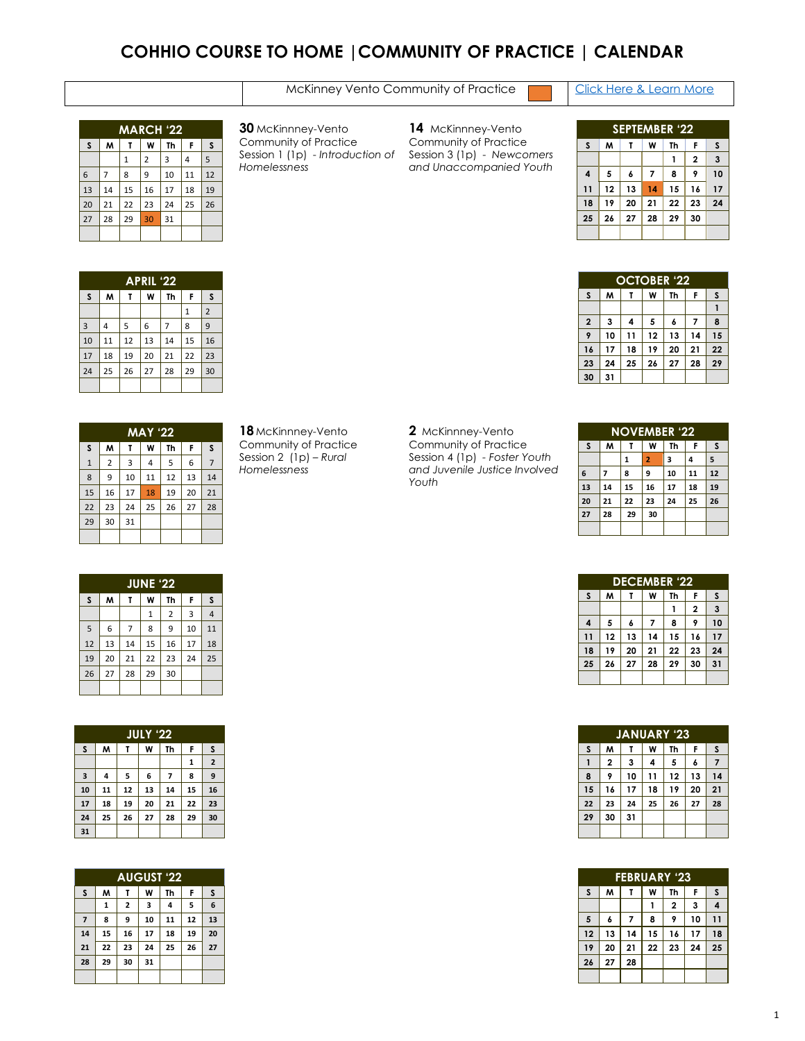### **COHHIO COURSE TO HOME |COMMUNITY OF PRACTICE | CALENDAR**

#### [Click Here & Learn More](https://cohhio.org/wp-content/uploads/2022/03/Guide-to-Community-of-Practice-3.25.2022-2.pdf)

| <b>MARCH '22</b> |                                    |    |    |    |    |    |  |  |
|------------------|------------------------------------|----|----|----|----|----|--|--|
| S                | M<br>W<br>F<br><b>Th</b><br>S<br>Т |    |    |    |    |    |  |  |
|                  |                                    | 1  | 2  | 3  | 4  | 5  |  |  |
| 6                | 7                                  | 8  | 9  | 10 | 11 | 12 |  |  |
| 13               | 14                                 | 15 | 16 | 17 | 18 | 19 |  |  |
| 20               | 21                                 | 22 | 23 | 24 | 25 | 26 |  |  |
| 27               | 28                                 | 29 | 30 | 31 |    |    |  |  |
|                  |                                    |    |    |    |    |    |  |  |

 McKinnney-Vento Community of Practice Session 1 (1p) - *Introduction of Homelessness* 

 McKinnney-Vento Community of Practice Session 3 (1p) - *Newcomers and Unaccompanied Youth*

| <b>SEPTEMBER '22</b>             |    |    |                |    |                |    |  |  |
|----------------------------------|----|----|----------------|----|----------------|----|--|--|
| S                                | M  | т  | W              | Th | F              | S  |  |  |
|                                  |    |    |                |    | $\overline{2}$ | 3  |  |  |
| $\overline{\mathbf{4}}$          | 5  | 6  | $\overline{7}$ | 8  | 9              | 10 |  |  |
| 11                               | 12 | 13 | 14             | 15 | 16             | 17 |  |  |
| 18                               | 19 | 20 | 21             | 22 | 23             | 24 |  |  |
| 25<br>27<br>30<br>29<br>26<br>28 |    |    |                |    |                |    |  |  |
|                                  |    |    |                |    |                |    |  |  |

**OCTOBER '22 S M T W Th F S**

 **3 4 5 6 7 8 10 11 12 13 14 15 17 18 19 20 21 22 24 25 26 27 28 29**

**31**

| <b>APRIL '22</b> |                        |    |    |    |    |                |  |  |
|------------------|------------------------|----|----|----|----|----------------|--|--|
| S                | M<br>Th<br>W<br>F<br>T |    |    |    |    |                |  |  |
|                  |                        |    |    |    | 1  | $\overline{2}$ |  |  |
| $\overline{3}$   | 4                      | 5  | 6  | 7  | 8  | 9              |  |  |
| 10               | 11                     | 12 | 13 | 14 | 15 | 16             |  |  |
| 17               | 18                     | 19 | 20 | 21 | 22 | 23             |  |  |
| 24               | 25                     | 26 | 27 | 28 | 29 | 30             |  |  |
|                  |                        |    |    |    |    |                |  |  |

| <b>MAY '22</b> |                |    |    |    |    |    |  |
|----------------|----------------|----|----|----|----|----|--|
| S              | M              | т  | W  | Th | F  | S  |  |
| $1\,$          | $\overline{2}$ | 3  | 4  | 5  | 6  |    |  |
| 8              | 9              | 10 | 11 | 12 | 13 | 14 |  |
| 15             | 16             | 17 | 18 | 19 | 20 | 21 |  |
| 22             | 23             | 24 | 25 | 26 | 27 | 28 |  |
| 29             | 30             | 31 |    |    |    |    |  |
|                |                |    |    |    |    |    |  |

 McKinnney-Vento Community of Practice Session 2 (1p) – *Rural Homelessness* 

 McKinnney-Vento Community of Practice Session 4 (1p) *- Foster Youth and Juvenile Justice Involved Youth*

| <b>NOVEMBER '22</b>  |    |    |    |    |    |    |  |  |
|----------------------|----|----|----|----|----|----|--|--|
| S                    | M  | т  | W  | Th | F  | S  |  |  |
|                      |    | 1  | 2  | 3  | 4  | 5  |  |  |
| 6                    | 7  | 8  | 9  | 10 | 11 | 12 |  |  |
| 13                   | 14 | 15 | 16 | 17 | 18 | 19 |  |  |
| 20                   | 21 | 22 | 23 | 24 | 25 | 26 |  |  |
| 27<br>30<br>29<br>28 |    |    |    |    |    |    |  |  |
|                      |    |    |    |    |    |    |  |  |

| <b>DECEMBER '22</b>                    |    |    |    |    |                |    |  |  |
|----------------------------------------|----|----|----|----|----------------|----|--|--|
| S                                      | M  | т  | W  | Th | F              | S  |  |  |
|                                        |    |    |    |    | $\overline{2}$ | 3  |  |  |
| $\overline{\mathbf{4}}$                | 5  | 6  | 7  | 8  | 9              | 10 |  |  |
| 11                                     | 12 | 13 | 14 | 15 | 16             | 17 |  |  |
| 18                                     | 19 | 20 | 21 | 22 | 23             | 24 |  |  |
| 25<br>29<br>30<br>26<br>27<br>28<br>31 |    |    |    |    |                |    |  |  |
|                                        |    |    |    |    |                |    |  |  |

| <b>JANUARY '23</b> |                             |    |    |    |    |    |  |  |
|--------------------|-----------------------------|----|----|----|----|----|--|--|
| S                  | M<br>W<br>Th<br>F<br>S<br>т |    |    |    |    |    |  |  |
| 1                  | 2                           | 3  | 4  | 5  | 6  | 7  |  |  |
| 8                  | 9                           | 10 | 11 | 12 | 13 | 14 |  |  |
| 15                 | 16                          | 17 | 18 | 19 | 20 | 21 |  |  |
| 22                 | 23                          | 24 | 25 | 26 | 27 | 28 |  |  |
| 29                 | 30                          | 31 |    |    |    |    |  |  |
|                    |                             |    |    |    |    |    |  |  |

| <b>FEBRUARY '23</b>      |                             |    |    |    |    |    |  |  |  |
|--------------------------|-----------------------------|----|----|----|----|----|--|--|--|
| S                        | M<br>Th<br>F<br>W<br>S<br>т |    |    |    |    |    |  |  |  |
| 3<br>$\overline{2}$<br>4 |                             |    |    |    |    |    |  |  |  |
| 5                        | 6                           | 7  | 8  | 9  | 10 | 11 |  |  |  |
| 12                       | 13                          | 14 | 15 | 16 | 17 | 18 |  |  |  |
| 19                       | 20                          | 21 | 22 | 23 | 24 | 25 |  |  |  |
| 26<br>28<br>27           |                             |    |    |    |    |    |  |  |  |
|                          |                             |    |    |    |    |    |  |  |  |

| <b>JUNE '22</b> |    |    |    |                |    |                |  |  |
|-----------------|----|----|----|----------------|----|----------------|--|--|
| S               | M  | Τ  | Th | F              | S  |                |  |  |
|                 |    |    | 1  | $\overline{2}$ | 3  | $\overline{4}$ |  |  |
| 5               | 6  |    | 8  | 9              | 10 | 11             |  |  |
| 12              | 13 | 14 | 15 | 16             | 17 | 18             |  |  |
| 19              | 20 | 21 | 22 | 23             | 24 | 25             |  |  |
| 26              | 27 | 28 | 29 | 30             |    |                |  |  |
|                 |    |    |    |                |    |                |  |  |

| <b>JULY '22</b> |                             |    |    |    |    |                         |  |  |  |
|-----------------|-----------------------------|----|----|----|----|-------------------------|--|--|--|
| S               | M<br>W<br>Th<br>F<br>S<br>τ |    |    |    |    |                         |  |  |  |
|                 |                             |    |    |    | 1  | $\overline{\mathbf{2}}$ |  |  |  |
| 3               | 4                           | 5  | 6  | 7  | 8  | 9                       |  |  |  |
| 10              | 11                          | 12 | 13 | 14 | 15 | 16                      |  |  |  |
| 17              | 18                          | 19 | 20 | 21 | 22 | 23                      |  |  |  |
| 24              | 25                          | 26 | 27 | 28 | 29 | 30                      |  |  |  |
| 31              |                             |    |    |    |    |                         |  |  |  |

| <b>AUGUST '22</b> |    |                |    |    |    |    |  |  |
|-------------------|----|----------------|----|----|----|----|--|--|
| S                 | M  | τ              | W  | Th | F  | S  |  |  |
|                   | 1  | $\overline{2}$ | 3  | 4  | 5  | 6  |  |  |
| $\overline{7}$    | 8  | 9              | 10 | 11 | 12 | 13 |  |  |
| 14                | 15 | 16             | 17 | 18 | 19 | 20 |  |  |
| 21                | 22 | 23             | 24 | 25 | 26 | 27 |  |  |
| 28                | 29 | 30             | 31 |    |    |    |  |  |
|                   |    |                |    |    |    |    |  |  |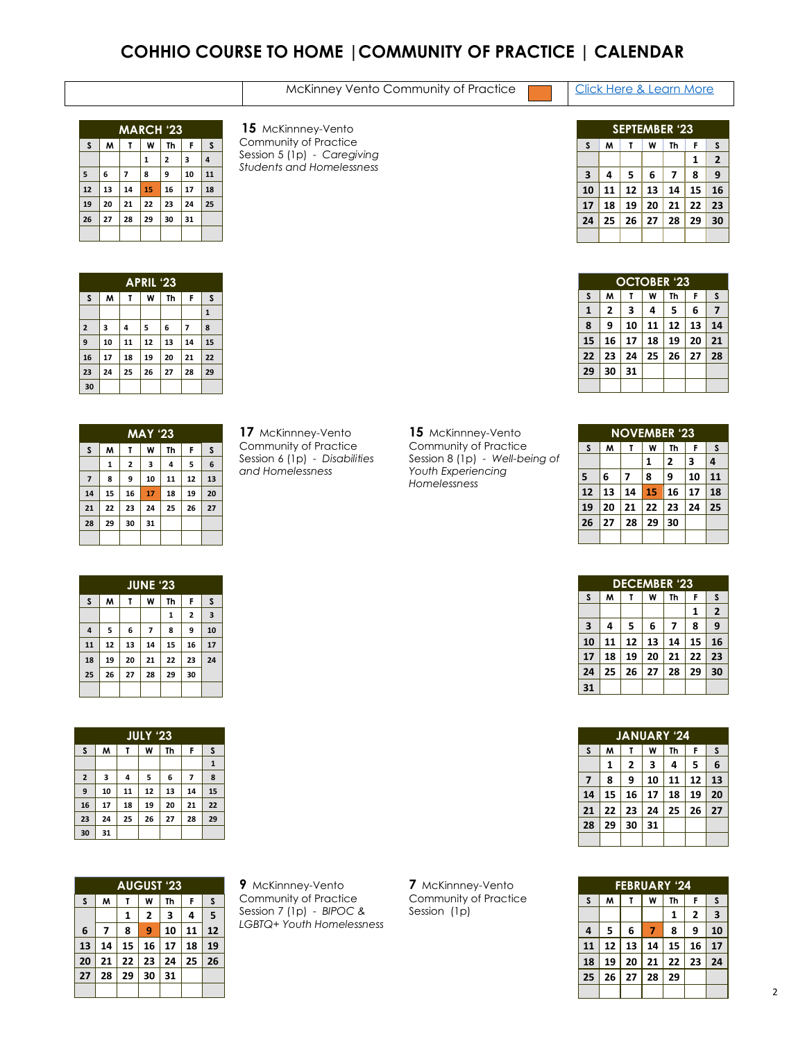### **COHHIO COURSE TO HOME |COMMUNITY OF PRACTICE | CALENDAR**

| McKinney Vento Community of Practice |
|--------------------------------------|
|--------------------------------------|

Click Here & Learn More

|                                  | <b>MARCH '23</b>            |                |    |                |    |    |  |  |  |
|----------------------------------|-----------------------------|----------------|----|----------------|----|----|--|--|--|
| S                                | M<br>F<br>S<br>W<br>Th<br>τ |                |    |                |    |    |  |  |  |
|                                  |                             |                | 1  | $\overline{2}$ | 3  | 4  |  |  |  |
| 5                                | 6                           | $\overline{ }$ | 8  | 9              | 10 | 11 |  |  |  |
| 12                               | 13                          | 14             | 15 | 16             | 17 | 18 |  |  |  |
| 19                               | 20                          | 21             | 22 | 23             | 24 | 25 |  |  |  |
| 26<br>27<br>28<br>29<br>31<br>30 |                             |                |    |                |    |    |  |  |  |
|                                  |                             |                |    |                |    |    |  |  |  |

 McKinnney-Vento Community of Practice Session 5 (1p) - *Caregiving Students and Homelessness*

|    | <b>SEPTEMBER '23</b>   |    |    |    |    |                |  |  |  |
|----|------------------------|----|----|----|----|----------------|--|--|--|
| S  | M<br>Th<br>W<br>F<br>т |    |    |    |    |                |  |  |  |
|    |                        |    |    |    | 1  | $\overline{2}$ |  |  |  |
| 3  | 4                      | 5  | 6  | 7  | 8  | 9              |  |  |  |
| 10 | 11                     | 12 | 13 | 14 | 15 | 16             |  |  |  |
| 17 | 18                     | 19 | 20 | 21 | 22 | 23             |  |  |  |
| 24 | 25                     | 26 | 27 | 28 | 29 | 30             |  |  |  |
|    |                        |    |    |    |    |                |  |  |  |

| <b>OCTOBER '23</b> |                                 |    |    |    |    |    |  |  |
|--------------------|---------------------------------|----|----|----|----|----|--|--|
| S                  | M                               |    | W  | Th | F  | S  |  |  |
| 1                  | 2                               | 3  | 4  | 5  | 6  | 7  |  |  |
| 8                  | 13<br>14<br>10<br>12<br>9<br>11 |    |    |    |    |    |  |  |
| 15                 | 16                              | 17 | 18 | 19 | 20 | 21 |  |  |
| 22                 | 23                              | 24 | 25 | 26 | 27 | 28 |  |  |
| 29<br>30<br>31     |                                 |    |    |    |    |    |  |  |
|                    |                                 |    |    |    |    |    |  |  |

| <b>APRIL '23</b> |    |    |    |    |    |              |  |  |
|------------------|----|----|----|----|----|--------------|--|--|
| S                | M  | т  | W  | Th | F  | S            |  |  |
|                  |    |    |    |    |    | $\mathbf{1}$ |  |  |
| $\mathbf 2$      | 3  | 4  | 5  | 6  | 7  | 8            |  |  |
| 9                | 10 | 11 | 12 | 13 | 14 | 15           |  |  |
| 16               | 17 | 18 | 19 | 20 | 21 | 22           |  |  |
| 23               | 24 | 25 | 26 | 27 | 28 | 29           |  |  |
| 30               |    |    |    |    |    |              |  |  |

| <b>MAY '23</b> |    |    |    |    |    |    |  |
|----------------|----|----|----|----|----|----|--|
| S              | W  | т  | W  | Th | F  | S  |  |
|                | 1  | 2  | 3  | 4  | 5  | 6  |  |
| $\overline{z}$ | 8  | 9  | 10 | 11 | 12 | 13 |  |
| 14             | 15 | 16 | 17 | 18 | 19 | 20 |  |
| 21             | 22 | 23 | 24 | 25 | 26 | 27 |  |
| 28             | 29 | 30 | 31 |    |    |    |  |
|                |    |    |    |    |    |    |  |

 McKinnney-Vento Community of Practice Session 6 (1p) - *Disabilities and Homelessness*

 McKinnney-Vento Community of Practice Session 8 (1p) - *Well-being of Youth Experiencing Homelessness*

| <b>NOVEMBER '23</b>        |    |    |    |    |    |    |  |  |
|----------------------------|----|----|----|----|----|----|--|--|
| S                          | M  | т  | W  | Th | F  | S  |  |  |
|                            |    |    | 1  | 2  | 3  | 4  |  |  |
| 5                          | 6  | 7  | 8  | 9  | 10 | 11 |  |  |
| 12                         | 13 | 14 | 15 | 16 | 17 | 18 |  |  |
| 19                         | 20 | 21 | 22 | 23 | 24 | 25 |  |  |
| 26<br>29<br>30<br>27<br>28 |    |    |    |    |    |    |  |  |
|                            |    |    |    |    |    |    |  |  |

| <b>DECEMBER '23</b>     |                             |    |    |    |    |                |  |  |
|-------------------------|-----------------------------|----|----|----|----|----------------|--|--|
| S                       | M<br>Th<br>F<br>S<br>W<br>т |    |    |    |    |                |  |  |
|                         |                             |    |    |    | 1  | $\overline{2}$ |  |  |
| $\overline{\mathbf{3}}$ | 4                           | 5  | 6  | 7  | 8  | 9              |  |  |
| 10                      | 11                          | 12 | 13 | 14 | 15 | 16             |  |  |
| 17                      | 18                          | 19 | 20 | 21 | 22 | 23             |  |  |
| 24                      | 25                          | 26 | 27 | 28 | 29 | 30             |  |  |
| 31                      |                             |    |    |    |    |                |  |  |

|                | <b>JANUARY '24</b> |    |    |    |    |    |  |  |  |
|----------------|--------------------|----|----|----|----|----|--|--|--|
| S              | M<br>W<br>Th<br>F  |    |    |    |    |    |  |  |  |
|                | 1                  | 2  | 3  | 4  | 5  | 6  |  |  |  |
| $\overline{7}$ | 8                  | 9  | 10 | 11 | 12 | 13 |  |  |  |
| 14             | 15                 | 16 | 17 | 18 | 19 | 20 |  |  |  |
| 21             | 22                 | 23 | 24 | 25 | 26 | 27 |  |  |  |
| 28             | 29                 | 30 | 31 |    |    |    |  |  |  |
|                |                    |    |    |    |    |    |  |  |  |

| <b>FEBRUARY '24</b>        |                             |    |    |    |    |                         |  |  |
|----------------------------|-----------------------------|----|----|----|----|-------------------------|--|--|
| S                          | M<br>W<br>F<br>Th<br>S<br>т |    |    |    |    |                         |  |  |
|                            |                             |    |    | 1  | 2  | $\overline{\mathbf{3}}$ |  |  |
| $\overline{4}$             | 5                           | 6  | 7  | 8  | 9  | 10                      |  |  |
| 11                         | 12                          | 13 | 14 | 15 | 16 | 17                      |  |  |
| 18                         | 19                          | 20 | 21 | 22 | 23 | 24                      |  |  |
| 25<br>29<br>26<br>28<br>27 |                             |    |    |    |    |                         |  |  |
|                            |                             |    |    |    |    |                         |  |  |

| <b>JUNE '23</b> |                        |    |    |              |                         |    |  |  |  |
|-----------------|------------------------|----|----|--------------|-------------------------|----|--|--|--|
| S               | F<br>W<br>Th<br>W<br>Т |    |    |              |                         |    |  |  |  |
|                 |                        |    |    | $\mathbf{1}$ | $\overline{\mathbf{2}}$ | 3  |  |  |  |
| $\overline{4}$  | 5                      | 6  | 7  | 8            | 9                       | 10 |  |  |  |
| 11              | 12                     | 13 | 14 | 15           | 16                      | 17 |  |  |  |
| 18              | 19                     | 20 | 21 | 22           | 23                      | 24 |  |  |  |
| 25              | 26                     | 27 | 28 | 29           | 30                      |    |  |  |  |
|                 |                        |    |    |              |                         |    |  |  |  |

| <b>JULY '23</b>         |    |    |    |    |    |             |  |  |  |
|-------------------------|----|----|----|----|----|-------------|--|--|--|
| S                       | M  | T  | W  | Th | F  | S           |  |  |  |
|                         |    |    |    |    |    | $\mathbf 1$ |  |  |  |
| $\overline{\mathbf{2}}$ | 3  | 4  | 5  | 6  | 7  | 8           |  |  |  |
| 9                       | 10 | 11 | 12 | 13 | 14 | 15          |  |  |  |
| 16                      | 17 | 18 | 19 | 20 | 21 | 22          |  |  |  |
| 23                      | 24 | 25 | 26 | 27 | 28 | 29          |  |  |  |
| 30                      | 31 |    |    |    |    |             |  |  |  |

| <b>AUGUST '23</b> |    |    |                |    |    |    |  |  |
|-------------------|----|----|----------------|----|----|----|--|--|
| S                 | M  | Τ  | W              | Th | F  | S  |  |  |
|                   |    | 1  | $\overline{2}$ | 3  | 4  | 5  |  |  |
| 6                 | 7  | 8  | 9              | 10 | 11 | 12 |  |  |
| 13                | 14 | 15 | 16             | 17 | 18 | 19 |  |  |
| 20                | 21 | 22 | 23             | 24 | 25 | 26 |  |  |
| 27                | 28 | 29 | 30             | 31 |    |    |  |  |
|                   |    |    |                |    |    |    |  |  |

 McKinnney-Vento Community of Practice Session 7 (1p) - *BIPOC & LGBTQ+ Youth Homelessness*

McKinnney-Vento Community of Practice Session (1p)